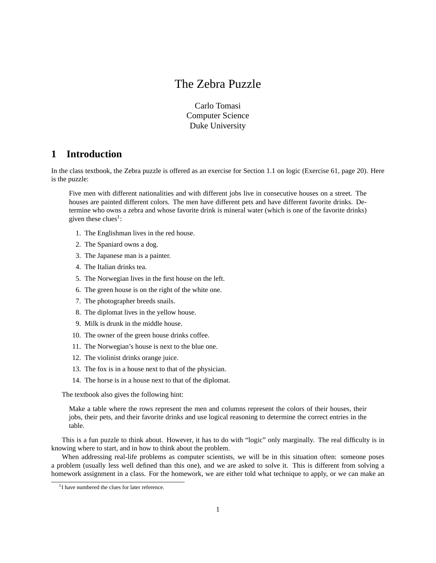# The Zebra Puzzle

Carlo Tomasi Computer Science Duke University

## **1 Introduction**

In the class textbook, the Zebra puzzle is offered as an exercise for Section 1.1 on logic (Exercise 61, page 20). Here is the puzzle:

Five men with different nationalities and with different jobs live in consecutive houses on a street. The houses are painted different colors. The men have different pets and have different favorite drinks. Determine who owns a zebra and whose favorite drink is mineral water (which is one of the favorite drinks) given these clues<sup>1</sup>:

- 1. The Englishman lives in the red house.
- 2. The Spaniard owns a dog.
- 3. The Japanese man is a painter.
- 4. The Italian drinks tea.
- 5. The Norwegian lives in the first house on the left.
- 6. The green house is on the right of the white one.
- 7. The photographer breeds snails.
- 8. The diplomat lives in the yellow house.
- 9. Milk is drunk in the middle house.
- 10. The owner of the green house drinks coffee.
- 11. The Norwegian's house is next to the blue one.
- 12. The violinist drinks orange juice.
- 13. The fox is in a house next to that of the physician.
- 14. The horse is in a house next to that of the diplomat.

The textbook also gives the following hint:

Make a table where the rows represent the men and columns represent the colors of their houses, their jobs, their pets, and their favorite drinks and use logical reasoning to determine the correct entries in the table.

This is a fun puzzle to think about. However, it has to do with "logic" only marginally. The real difficulty is in knowing where to start, and in how to think about the problem.

When addressing real-life problems as computer scientists, we will be in this situation often: someone poses a problem (usually less well defined than this one), and we are asked to solve it. This is different from solving a homework assignment in a class. For the homework, we are either told what technique to apply, or we can make an

<sup>&</sup>lt;sup>1</sup>I have numbered the clues for later reference.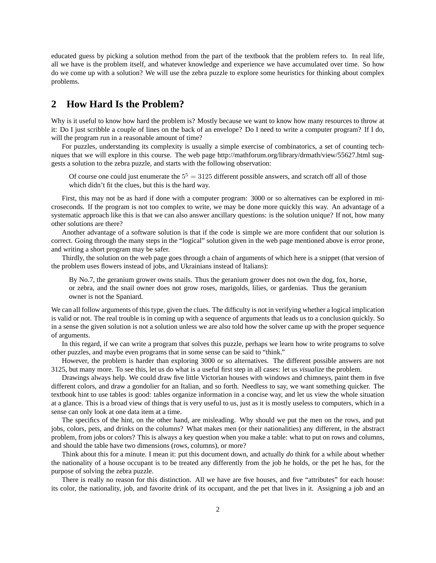educated guess by picking a solution method from the part of the textbook that the problem refers to. In real life, all we have is the problem itself, and whatever knowledge and experience we have accumulated over time. So how do we come up with a solution? We will use the zebra puzzle to explore some heuristics for thinking about complex problems.

#### **2 How Hard Is the Problem?**

Why is it useful to know how hard the problem is? Mostly because we want to know how many resources to throw at it: Do I just scribble a couple of lines on the back of an envelope? Do I need to write a computer program? If I do, will the program run in a reasonable amount of time?

For puzzles, understanding its complexity is usually a simple exercise of combinatorics, a set of counting techniques that we will explore in this course. The web page http://mathforum.org/library/drmath/view/55627.html suggests a solution to the zebra puzzle, and starts with the following observation:

Of course one could just enumerate the  $5^5 = 3125$  different possible answers, and scratch off all of those which didn't fit the clues, but this is the hard way.

First, this may not be as hard if done with a computer program: 3000 or so alternatives can be explored in microseconds. If the program is not too complex to write, we may be done more quickly this way. An advantage of a systematic approach like this is that we can also answer ancillary questions: is the solution unique? If not, how many other solutions are there?

Another advantage of a software solution is that if the code is simple we are more confident that our solution is correct. Going through the many steps in the "logical" solution given in the web page mentioned above is error prone, and writing a short program may be safer.

Thirdly, the solution on the web page goes through a chain of arguments of which here is a snippet (that version of the problem uses flowers instead of jobs, and Ukrainians instead of Italians):

By No.7, the geranium grower owns snails. Thus the geranium grower does not own the dog, fox, horse, or zebra, and the snail owner does not grow roses, marigolds, lilies, or gardenias. Thus the geranium owner is not the Spaniard.

We can all follow arguments of this type, given the clues. The difficulty is not in verifying whether a logical implication is valid or not. The real trouble is in coming up with a sequence of arguments that leads us to a conclusion quickly. So in a sense the given solution is not a solution unless we are also told how the solver came up with the proper sequence of arguments.

In this regard, if we can write a program that solves this puzzle, perhaps we learn how to write programs to solve other puzzles, and maybe even programs that in some sense can be said to "think."

However, the problem is harder than exploring 3000 or so alternatives. The different possible answers are not 3125, but many more. To see this, let us do what is a useful first step in all cases: let us *visualize* the problem.

Drawings always help. We could draw five little Victorian houses with windows and chimneys, paint them in five different colors, and draw a gondolier for an Italian, and so forth. Needless to say, we want something quicker. The textbook hint to use tables is good: tables organize information in a concise way, and let us view the whole situation at a glance. This is a broad view of things that is very useful to us, just as it is mostly useless to computers, which in a sense can only look at one data item at a time.

The specifics of the hint, on the other hand, are misleading. Why should we put the men on the rows, and put jobs, colors, pets, and drinks on the columns? What makes men (or their nationalities) any different, in the abstract problem, from jobs or colors? This is always a key question when you make a table: what to put on rows and columns, and should the table have two dimensions (rows, columns), or more?

Think about this for a minute. I mean it: put this document down, and actually *do* think for a while about whether the nationality of a house occupant is to be treated any differently from the job he holds, or the pet he has, for the purpose of solving the zebra puzzle.

There is really no reason for this distinction. All we have are five houses, and five "attributes" for each house: its color, the nationality, job, and favorite drink of its occupant, and the pet that lives in it. Assigning a job and an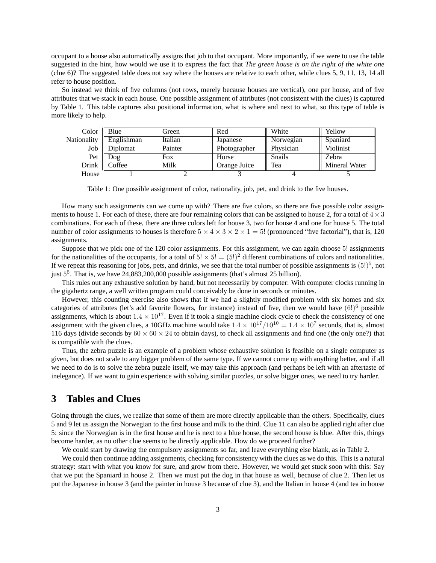occupant to a house also automatically assigns that job to that occupant. More importantly, if we were to use the table suggested in the hint, how would we use it to express the fact that *The green house is on the right of the white one* (clue 6)? The suggested table does not say where the houses are relative to each other, while clues 5, 9, 11, 13, 14 all refer to house position.

So instead we think of five columns (not rows, merely because houses are vertical), one per house, and of five attributes that we stack in each house. One possible assignment of attributes (not consistent with the clues) is captured by Table 1. This table captures also positional information, what is where and next to what, so this type of table is more likely to help.

| Color       | Blue             | Green   | Red          | White          | Yellow               |
|-------------|------------------|---------|--------------|----------------|----------------------|
| Nationality | Englishman       | Italian | Japanese     | Norwegian      | Spaniard             |
| Job         | Diplomat         | Painter | Photographer | Physician      | Violinist            |
| Pet         | log <sub>c</sub> | Fox     | Horse        | <b>S</b> nails | Zebra                |
| Drink       | Coffee           | Milk    | Orange Juice | Tea            | <b>Mineral Water</b> |
| House       |                  |         |              |                |                      |

Table 1: One possible assignment of color, nationality, job, pet, and drink to the five houses.

How many such assignments can we come up with? There are five colors, so there are five possible color assignments to house 1. For each of these, there are four remaining colors that can be assigned to house 2, for a total of  $4 \times 3$ combinations. For each of these, there are three colors left for house 3, two for house 4 and one for house 5. The total number of color assignments to houses is therefore  $5 \times 4 \times 3 \times 2 \times 1 = 5!$  (pronounced "five factorial"), that is, 120 assignments.

Suppose that we pick one of the 120 color assignments. For this assignment, we can again choose 5! assignments for the nationalities of the occupants, for a total of  $5! \times 5! = (5!)^2$  different combinations of colors and nationalities. If we repeat this reasoning for jobs, pets, and drinks, we see that the total number of possible assignments is  $(5!)^5$ , not just  $5^5$ . That is, we have 24,883,200,000 possible assignments (that's almost 25 billion).

This rules out any exhaustive solution by hand, but not necessarily by computer: With computer clocks running in the gigahertz range, a well written program could conceivably be done in seconds or minutes.

However, this counting exercise also shows that if we had a slightly modified problem with six homes and six categories of attributes (let's add favorite flowers, for instance) instead of five, then we would have  $(6!)^6$  possible assignments, which is about  $1.4 \times 10^{17}$ . Even if it took a single machine clock cycle to check the consistency of one assignment with the given clues, a 10GHz machine would take  $1.4 \times 10^{17}/10^{10} = 1.4 \times 10^7$  seconds, that is, almost 116 days (divide seconds by  $60 \times 60 \times 24$  to obtain days), to check all assignments and find one (the only one?) that is compatible with the clues.

Thus, the zebra puzzle is an example of a problem whose exhaustive solution is feasible on a single computer as given, but does not scale to any bigger problem of the same type. If we cannot come up with anything better, and if all we need to do is to solve the zebra puzzle itself, we may take this approach (and perhaps be left with an aftertaste of inelegance). If we want to gain experience with solving similar puzzles, or solve bigger ones, we need to try harder.

#### **3 Tables and Clues**

Going through the clues, we realize that some of them are more directly applicable than the others. Specifically, clues 5 and 9 let us assign the Norwegian to the first house and milk to the third. Clue 11 can also be applied right after clue 5: since the Norwegian is in the first house and he is next to a blue house, the second house is blue. After this, things become harder, as no other clue seems to be directly applicable. How do we proceed further?

We could start by drawing the compulsory assignments so far, and leave everything else blank, as in Table 2.

We could then continue adding assignments, checking for consistency with the clues as we do this. This is a natural strategy: start with what you know for sure, and grow from there. However, we would get stuck soon with this: Say that we put the Spaniard in house 2. Then we must put the dog in that house as well, because of clue 2. Then let us put the Japanese in house 3 (and the painter in house 3 because of clue 3), and the Italian in house 4 (and tea in house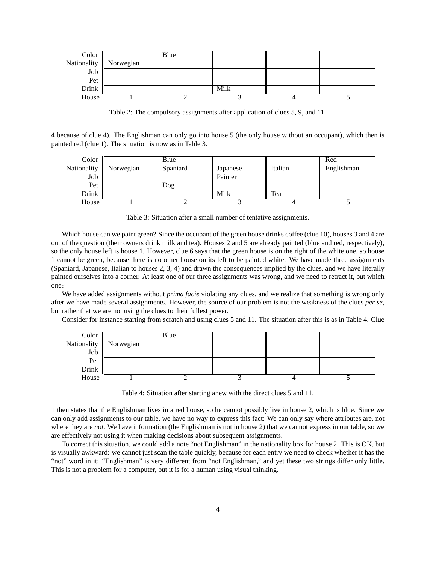

Table 2: The compulsory assignments after application of clues 5, 9, and 11.

4 because of clue 4). The Englishman can only go into house 5 (the only house without an occupant), which then is painted red (clue 1). The situation is now as in Table 3.



Table 3: Situation after a small number of tentative assignments.

Which house can we paint green? Since the occupant of the green house drinks coffee (clue 10), houses 3 and 4 are out of the question (their owners drink milk and tea). Houses 2 and 5 are already painted (blue and red, respectively), so the only house left is house 1. However, clue 6 says that the green house is on the right of the white one, so house 1 cannot be green, because there is no other house on its left to be painted white. We have made three assignments (Spaniard, Japanese, Italian to houses 2, 3, 4) and drawn the consequences implied by the clues, and we have literally painted ourselves into a corner. At least one of our three assignments was wrong, and we need to retract it, but which one?

We have added assignments without *prima facie* violating any clues, and we realize that something is wrong only after we have made several assignments. However, the source of our problem is not the weakness of the clues *per se*, but rather that we are not using the clues to their fullest power.

Consider for instance starting from scratch and using clues 5 and 11. The situation after this is as in Table 4. Clue

| Color       |           | Blue |  |  |
|-------------|-----------|------|--|--|
| Nationality | Norwegian |      |  |  |
| Job         |           |      |  |  |
| Pet         |           |      |  |  |
| Drink       |           |      |  |  |
| House       |           |      |  |  |

Table 4: Situation after starting anew with the direct clues 5 and 11.

1 then states that the Englishman lives in a red house, so he cannot possibly live in house 2, which is blue. Since we can only add assignments to our table, we have no way to express this fact: We can only say where attributes are, not where they are *not*. We have information (the Englishman is not in house 2) that we cannot express in our table, so we are effectively not using it when making decisions about subsequent assignments.

To correct this situation, we could add a note "not Englishman" in the nationality box for house 2. This is OK, but is visually awkward: we cannot just scan the table quickly, because for each entry we need to check whether it has the "not" word in it: "Englishman" is very different from "not Englishman," and yet these two strings differ only little. This is not a problem for a computer, but it is for a human using visual thinking.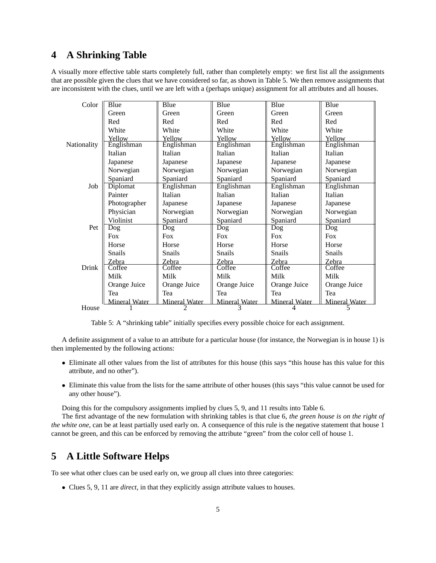#### **4 A Shrinking Table**

A visually more effective table starts completely full, rather than completely empty: we first list all the assignments that are possible given the clues that we have considered so far, as shown in Table 5. We then remove assignments that are inconsistent with the clues, until we are left with a (perhaps unique) assignment for all attributes and all houses.

| Color       | Blue                 | Blue          | Blue                 | Blue                 | Blue                 |
|-------------|----------------------|---------------|----------------------|----------------------|----------------------|
|             | Green                | Green         | Green                | Green                | Green                |
|             | Red                  | Red           | Red                  | Red                  | Red                  |
|             | White                | White         | White                | White                | White                |
|             | Yellow               | Yellow        | Yellow               | Yellow               | Yellow               |
| Nationality | Englishman           | Englishman    | Englishman           | Englishman           | Englishman           |
|             | Italian              | Italian       | Italian              | Italian              | Italian              |
|             | Japanese             | Japanese      | Japanese             | Japanese             | Japanese             |
|             | Norwegian            | Norwegian     | Norwegian            | Norwegian            | Norwegian            |
|             | Spaniard             | Spaniard      | Spaniard             | Spaniard             | Spaniard             |
| Job         | Diplomat             | Englishman    | Englishman           | Englishman           | Englishman           |
|             | Painter              | Italian       | Italian              | Italian              | Italian              |
|             | Photographer         | Japanese      | Japanese             | Japanese             | Japanese             |
|             | Physician            | Norwegian     | Norwegian            | Norwegian            | Norwegian            |
|             | Violinist            | Spaniard      | Spaniard             | Spaniard             | Spaniard             |
| Pet         | Dog                  | Dog           | Dog                  | Dog                  | Dog                  |
|             | <b>Fox</b>           | <b>Fox</b>    | <b>Fox</b>           | <b>Fox</b>           | <b>Fox</b>           |
|             | Horse                | Horse         | Horse                | Horse                | Horse                |
|             | <b>Snails</b>        | <b>Snails</b> | Snails               | Snails               | Snails               |
|             | Zebra                | Zebra         | Zebra                | Zebra                | Zebra                |
| Drink       | Coffee               | Coffee        | Coffee               | Coffee               | Coffee               |
|             | Milk                 | Milk          | Milk                 | Milk                 | Milk                 |
|             | Orange Juice         | Orange Juice  | Orange Juice         | Orange Juice         | Orange Juice         |
|             | Tea                  | Tea           | Tea                  | Tea                  | Tea                  |
|             | <b>Mineral Water</b> | Mineral Water | <b>Mineral Water</b> | <b>Mineral Water</b> | <b>Mineral Water</b> |
| House       |                      |               |                      |                      |                      |

Table 5: A "shrinking table" initially specifies every possible choice for each assignment.

A definite assignment of a value to an attribute for a particular house (for instance, the Norwegian is in house 1) is then implemented by the following actions:

- Eliminate all other values from the list of attributes for this house (this says "this house has this value for this attribute, and no other").
- Eliminate this value from the lists for the same attribute of other houses (this says "this value cannot be used for any other house").

Doing this for the compulsory assignments implied by clues 5, 9, and 11 results into Table 6.

The first advantage of the new formulation with shrinking tables is that clue 6, *the green house is on the right of the white one*, can be at least partially used early on. A consequence of this rule is the negative statement that house 1 cannot be green, and this can be enforced by removing the attribute "green" from the color cell of house 1.

# **5 A Little Software Helps**

To see what other clues can be used early on, we group all clues into three categories:

• Clues 5, 9, 11 are *direct*, in that they explicitly assign attribute values to houses.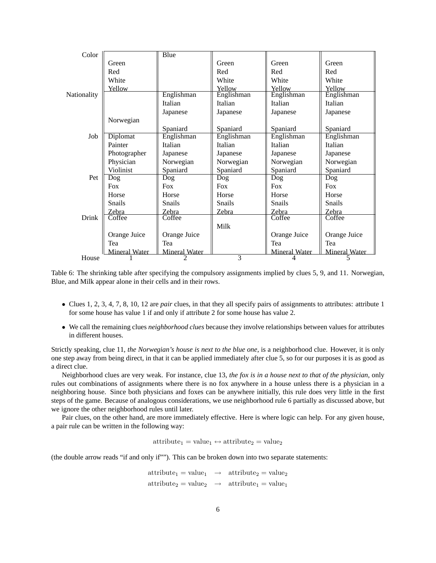| Color       |                      | Blue                 |               |                      |                      |
|-------------|----------------------|----------------------|---------------|----------------------|----------------------|
|             | Green                |                      | Green         | Green                | Green                |
|             | Red                  |                      | Red           | Red                  | Red                  |
|             | White                |                      | White         | White                | White                |
|             | Yellow               |                      | Yellow        | Yellow               | Yellow               |
| Nationality |                      | Englishman           | Englishman    | Englishman           | Englishman           |
|             |                      | Italian              | Italian       | Italian              | Italian              |
|             |                      | Japanese             | Japanese      | Japanese             | Japanese             |
|             | Norwegian            |                      |               |                      |                      |
|             |                      | Spaniard             | Spaniard      | Spaniard             | Spaniard             |
| Job         | Diplomat             | Englishman           | Englishman    | Englishman           | Englishman           |
|             | Painter              | Italian              | Italian       | Italian              | Italian              |
|             | Photographer         | Japanese             | Japanese      | Japanese             | Japanese             |
|             | Physician            | Norwegian            | Norwegian     | Norwegian            | Norwegian            |
|             | Violinist            | Spaniard             | Spaniard      | Spaniard             | Spaniard             |
| Pet         | Dog                  | Dog                  | Dog           | Dog                  | Dog                  |
|             | <b>Fox</b>           | <b>Fox</b>           | Fox           | <b>Fox</b>           | <b>Fox</b>           |
|             | Horse                | Horse                | Horse         | Horse                | Horse                |
|             | <b>Snails</b>        | <b>Snails</b>        | <b>Snails</b> | <b>Snails</b>        | <b>Snails</b>        |
|             | Zebra                | Zebra                | Zebra         | Zebra                | Zebra                |
| Drink       | Coffee               | Coffee               |               | Coffee               | Coffee               |
|             |                      |                      | Milk          |                      |                      |
|             | Orange Juice         | Orange Juice         |               | Orange Juice         | Orange Juice         |
|             | Tea                  | Tea                  |               | Tea                  | Tea                  |
|             | <b>Mineral Water</b> | <b>Mineral Water</b> |               | <b>Mineral Water</b> | <b>Mineral Water</b> |
| House       |                      |                      | 3             |                      | 5                    |

Table 6: The shrinking table after specifying the compulsory assignments implied by clues 5, 9, and 11. Norwegian, Blue, and Milk appear alone in their cells and in their rows.

- Clues 1, 2, 3, 4, 7, 8, 10, 12 are *pair* clues, in that they all specify pairs of assignments to attributes: attribute 1 for some house has value 1 if and only if attribute 2 for some house has value 2.
- We call the remaining clues *neighborhood clues* because they involve relationships between values for attributes in different houses.

Strictly speaking, clue 11, *the Norwegian's house is next to the blue one*, is a neighborhood clue. However, it is only one step away from being direct, in that it can be applied immediately after clue 5, so for our purposes it is as good as a direct clue.

Neighborhood clues are very weak. For instance, clue 13, *the fox is in a house next to that of the physician*, only rules out combinations of assignments where there is no fox anywhere in a house unless there is a physician in a neighboring house. Since both physicians and foxes can be anywhere initially, this rule does very little in the first steps of the game. Because of analogous considerations, we use neighborhood rule 6 partially as discussed above, but we ignore the other neighborhood rules until later.

Pair clues, on the other hand, are more immediately effective. Here is where logic can help. For any given house, a pair rule can be written in the following way:

 $attribute_1 = value_1 \leftrightarrow attribute_2 = value_2$ 

(the double arrow reads "if and only if""). This can be broken down into two separate statements:

 $attribute_1 = value_1 \rightarrow attribute_2 = value_2$  $attribute_2 = value_2 \rightarrow attribute_1 = value_1$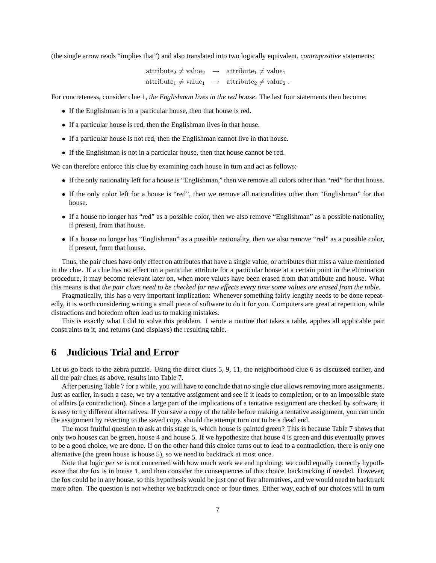(the single arrow reads "implies that") and also translated into two logically equivalent, *contrapositive* statements:

 $\mathrm{attribute_2} \neq \mathrm{value_2} \ \ \, \rightarrow \ \ \, \mathrm{attribute_1} \neq \mathrm{value_1}$  $attribute_1 \neq value_1 \rightarrow attribute_2 \neq value_2$ .

For concreteness, consider clue 1, *the Englishman lives in the red house*. The last four statements then become:

- If the Englishman is in a particular house, then that house is red.
- If a particular house is red, then the Englishman lives in that house.
- If a particular house is not red, then the Englishman cannot live in that house.
- If the Englishman is not in a particular house, then that house cannot be red.

We can therefore enforce this clue by examining each house in turn and act as follows:

- If the only nationality left for a house is "Englishman," then we remove all colors other than "red" for that house.
- If the only color left for a house is "red", then we remove all nationalities other than "Englishman" for that house.
- If a house no longer has "red" as a possible color, then we also remove "Englishman" as a possible nationality, if present, from that house.
- If a house no longer has "Englishman" as a possible nationality, then we also remove "red" as a possible color, if present, from that house.

Thus, the pair clues have only effect on attributes that have a single value, or attributes that miss a value mentioned in the clue. If a clue has no effect on a particular attribute for a particular house at a certain point in the elimination procedure, it may become relevant later on, when more values have been erased from that attribute and house. What this means is that *the pair clues need to be checked for new effects every time some values are erased from the table.*

Pragmatically, this has a very important implication: Whenever something fairly lengthy needs to be done repeatedly, it is worth considering writing a small piece of software to do it for you. Computers are great at repetition, while distractions and boredom often lead us to making mistakes.

This is exactly what I did to solve this problem. I wrote a routine that takes a table, applies all applicable pair constraints to it, and returns (and displays) the resulting table.

## **6 Judicious Trial and Error**

Let us go back to the zebra puzzle. Using the direct clues 5, 9, 11, the neighborhood clue 6 as discussed earlier, and all the pair clues as above, results into Table 7.

After perusing Table 7 for a while, you will have to conclude that no single clue allows removing more assignments. Just as earlier, in such a case, we try a tentative assignment and see if it leads to completion, or to an impossible state of affairs (a contradiction). Since a large part of the implications of a tentative assignment are checked by software, it is easy to try different alternatives: If you save a copy of the table before making a tentative assignment, you can undo the assignment by reverting to the saved copy, should the attempt turn out to be a dead end.

The most fruitful question to ask at this stage is, which house is painted green? This is because Table 7 shows that only two houses can be green, house 4 and house 5. If we hypothesize that house 4 is green and this eventually proves to be a good choice, we are done. If on the other hand this choice turns out to lead to a contradiction, there is only one alternative (the green house is house 5), so we need to backtrack at most once.

Note that logic *per se* is not concerned with how much work we end up doing: we could equally correctly hypothesize that the fox is in house 1, and then consider the consequences of this choice, backtracking if needed. However, the fox could be in any house, so this hypothesis would be just one of five alternatives, and we would need to backtrack more often. The question is not whether we backtrack once or four times. Either way, each of our choices will in turn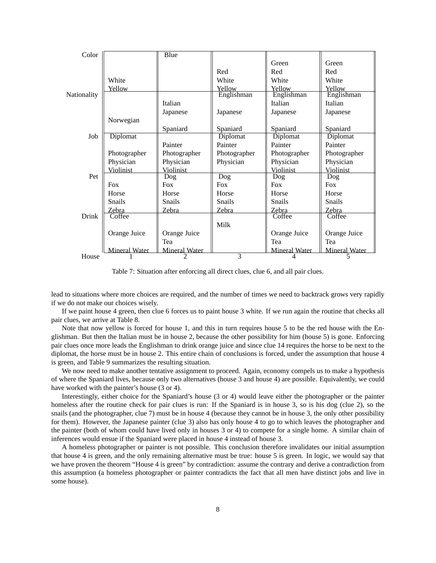| Color       |                      | Blue                 |                   |                      |                      |
|-------------|----------------------|----------------------|-------------------|----------------------|----------------------|
|             |                      |                      |                   | Green                | Green                |
|             |                      |                      | Red               | Red                  | Red                  |
|             | White                |                      | White             | White                | White                |
|             | Yellow               |                      | Yellow            | Yellow               | Yellow               |
| Nationality |                      |                      | Englishman        | Englishman           | Englishman           |
|             |                      | Italian              |                   | Italian              | Italian              |
|             |                      | Japanese             | Japanese          | Japanese             | Japanese             |
|             | Norwegian            |                      |                   |                      |                      |
|             |                      | Spaniard             | Spaniard          | Spaniard             | Spaniard             |
| Job         | Diplomat             |                      | Diplomat          | Diplomat             | Diplomat             |
|             |                      | Painter              | Painter           | Painter              | Painter              |
|             | Photographer         | Photographer         | Photographer      | Photographer         | Photographer         |
|             | Physician            | Physician            | Physician         | Physician            | Physician            |
|             | Violinist            | Violinist            |                   | Violinist            | Violinist            |
| Pet         |                      | Dog                  | $\overline{D}$ og | Dog                  | D <sub>og</sub>      |
|             | <b>Fox</b>           | <b>Fox</b>           | <b>Fox</b>        | <b>Fox</b>           | <b>Fox</b>           |
|             | Horse                | Horse                | Horse             | Horse                | Horse                |
|             | <b>S</b> nails       | <b>Snails</b>        | <b>Snails</b>     | Snails               | <b>Snails</b>        |
|             | Zebra                | Zebra                | Zebra             | Zebra                | Zebra                |
| Drink       | Coffee               |                      |                   | Coffee               | Coffee               |
|             |                      |                      | Milk              |                      |                      |
|             | Orange Juice         | Orange Juice         |                   | Orange Juice         | Orange Juice         |
|             |                      | Tea                  |                   | Tea                  | Tea                  |
|             | <b>Mineral Water</b> | <b>Mineral Water</b> |                   | <b>Mineral Water</b> | <b>Mineral Water</b> |
| House       |                      |                      | 3                 |                      |                      |

Table 7: Situation after enforcing all direct clues, clue 6, and all pair clues.

lead to situations where more choices are required, and the number of times we need to backtrack grows very rapidly if we do not make our choices wisely.

If we paint house 4 green, then clue 6 forces us to paint house 3 white. If we run again the routine that checks all pair clues, we arrive at Table 8.

Note that now yellow is forced for house 1, and this in turn requires house 5 to be the red house with the Englishman. But then the Italian must be in house 2, because the other possibility for him (house 5) is gone. Enforcing pair clues once more leads the Englishman to drink orange juice and since clue 14 requires the horse to be next to the diplomat, the horse must be in house 2. This entire chain of conclusions is forced, under the assumption that house 4 is green, and Table 9 summarizes the resulting situation.

We now need to make another tentative assignment to proceed. Again, economy compels us to make a hypothesis of where the Spaniard lives, because only two alternatives (house 3 and house 4) are possible. Equivalently, we could have worked with the painter's house (3 or 4).

Interestingly, either choice for the Spaniard's house (3 or 4) would leave either the photographer or the painter homeless after the routine check for pair clues is run: If the Spaniard is in house 3, so is his dog (clue 2), so the snails (and the photographer, clue 7) must be in house 4 (because they cannot be in house 3, the only other possibility for them). However, the Japanese painter (clue 3) also has only house 4 to go to which leaves the photographer and the painter (both of whom could have lived only in houses 3 or 4) to compete for a single home. A similar chain of inferences would ensue if the Spaniard were placed in house 4 instead of house 3.

A homeless photographer or painter is not possible. This conclusion therefore invalidates our initial assumption that house 4 is green, and the only remaining alternative must be true: house 5 is green. In logic, we would say that we have proven the theorem "House 4 is green" by contradiction: assume the contrary and derive a contradiction from this assumption (a homeless photographer or painter contradicts the fact that all men have distinct jobs and live in some house).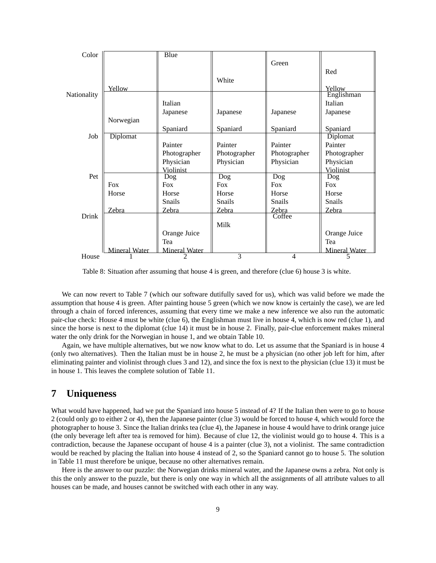| Color       |                      | Blue                 |               |                   |                      |
|-------------|----------------------|----------------------|---------------|-------------------|----------------------|
|             |                      |                      |               | Green             |                      |
|             |                      |                      |               |                   | Red                  |
|             |                      |                      | White         |                   |                      |
|             | Yellow               |                      |               |                   | Yellow               |
| Nationality |                      |                      |               |                   | Englishman           |
|             |                      | Italian              |               |                   | Italian              |
|             |                      | Japanese             | Japanese      | Japanese          | Japanese             |
|             | Norwegian            |                      |               |                   |                      |
|             |                      | Spaniard             | Spaniard      | Spaniard          | Spaniard             |
| Job         | <b>Diplomat</b>      |                      |               |                   | Diplomat             |
|             |                      | Painter              | Painter       | Painter           | Painter              |
|             |                      | Photographer         | Photographer  | Photographer      | Photographer         |
|             |                      | Physician            | Physician     | Physician         | Physician            |
|             |                      | Violinist            |               |                   | Violinist            |
| Pet         |                      | Dog                  | Dog           | $\overline{D}$ og | $\overline{Dog}$     |
|             | <b>Fox</b>           | <b>Fox</b>           | <b>Fox</b>    | <b>Fox</b>        | <b>Fox</b>           |
|             | Horse                | Horse                | Horse         | Horse             | Horse                |
|             |                      | <b>Snails</b>        | <b>Snails</b> | Snails            | <b>Snails</b>        |
|             | Zebra                | Zebra                | Zebra         | Zebra             | Zebra                |
| Drink       |                      |                      |               | Coffee            |                      |
|             |                      |                      | Milk          |                   |                      |
|             |                      | Orange Juice         |               |                   | Orange Juice         |
|             |                      | Tea                  |               |                   | Tea                  |
|             | <b>Mineral Water</b> | <b>Mineral Water</b> |               |                   | <b>Mineral Water</b> |
| House       |                      |                      | 3             | $\overline{4}$    |                      |

Table 8: Situation after assuming that house 4 is green, and therefore (clue 6) house 3 is white.

We can now revert to Table 7 (which our software dutifully saved for us), which was valid before we made the assumption that house 4 is green. After painting house 5 green (which we now know is certainly the case), we are led through a chain of forced inferences, assuming that every time we make a new inference we also run the automatic pair-clue check: House 4 must be white (clue 6), the Englishman must live in house 4, which is now red (clue 1), and since the horse is next to the diplomat (clue 14) it must be in house 2. Finally, pair-clue enforcement makes mineral water the only drink for the Norwegian in house 1, and we obtain Table 10.

Again, we have multiple alternatives, but we now know what to do. Let us assume that the Spaniard is in house 4 (only two alternatives). Then the Italian must be in house 2, he must be a physician (no other job left for him, after eliminating painter and violinist through clues 3 and 12), and since the fox is next to the physician (clue 13) it must be in house 1. This leaves the complete solution of Table 11.

#### **7 Uniqueness**

What would have happened, had we put the Spaniard into house 5 instead of 4? If the Italian then were to go to house 2 (could only go to either 2 or 4), then the Japanese painter (clue 3) would be forced to house 4, which would force the photographer to house 3. Since the Italian drinks tea (clue 4), the Japanese in house 4 would have to drink orange juice (the only beverage left after tea is removed for him). Because of clue 12, the violinist would go to house 4. This is a contradiction, because the Japanese occupant of house 4 is a painter (clue 3), not a violinist. The same contradiction would be reached by placing the Italian into house 4 instead of 2, so the Spaniard cannot go to house 5. The solution in Table 11 must therefore be unique, because no other alternatives remain.

Here is the answer to our puzzle: the Norwegian drinks mineral water, and the Japanese owns a zebra. Not only is this the only answer to the puzzle, but there is only one way in which all the assignments of all attribute values to all houses can be made, and houses cannot be switched with each other in any way.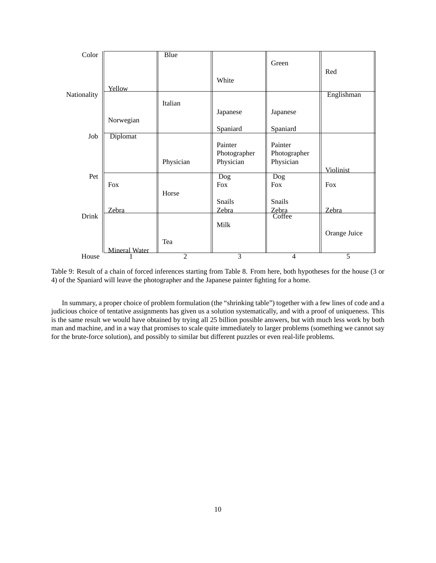| Color       |               | <b>Blue</b>    |                  |                  |              |
|-------------|---------------|----------------|------------------|------------------|--------------|
|             |               |                |                  | Green            |              |
|             |               |                |                  |                  | Red          |
|             |               |                | White            |                  |              |
| Nationality | Yellow        |                |                  |                  | Englishman   |
|             |               | Italian        |                  |                  |              |
|             |               |                | Japanese         | Japanese         |              |
|             | Norwegian     |                |                  |                  |              |
|             |               |                | Spaniard         | Spaniard         |              |
| Job         | Diplomat      |                |                  |                  |              |
|             |               |                | Painter          | Painter          |              |
|             |               |                | Photographer     | Photographer     |              |
|             |               | Physician      | Physician        | Physician        |              |
|             |               |                |                  |                  | Violinist    |
| Pet         | <b>Fox</b>    |                | $\overline{Dog}$ | $\overline{Dog}$ | <b>Fox</b>   |
|             |               | Horse          | Fox              | <b>Fox</b>       |              |
|             |               |                | Snails           | Snails           |              |
|             | Zebra         |                | Zebra            | Zebra            | Zebra        |
| Drink       |               |                |                  | Coffee           |              |
|             |               |                | Milk             |                  |              |
|             |               |                |                  |                  | Orange Juice |
|             |               | Tea            |                  |                  |              |
|             | Mineral Water |                |                  |                  |              |
| House       |               | $\overline{2}$ | $\overline{3}$   | 4                | 5            |

Table 9: Result of a chain of forced inferences starting from Table 8. From here, both hypotheses for the house (3 or 4) of the Spaniard will leave the photographer and the Japanese painter fighting for a home.

In summary, a proper choice of problem formulation (the "shrinking table") together with a few lines of code and a judicious choice of tentative assignments has given us a solution systematically, and with a proof of uniqueness. This is the same result we would have obtained by trying all 25 billion possible answers, but with much less work by both man and machine, and in a way that promises to scale quite immediately to larger problems (something we cannot say for the brute-force solution), and possibly to similar but different puzzles or even real-life problems.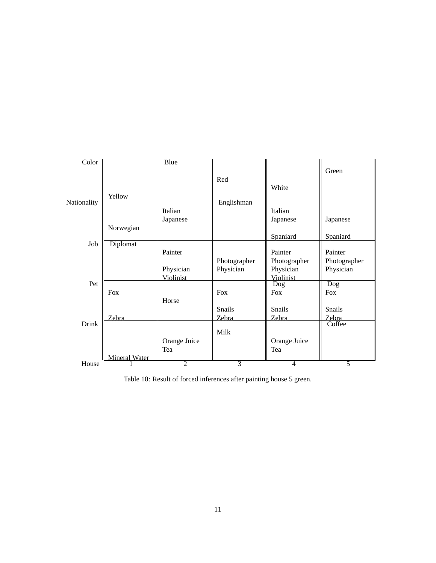| Color       |                      | <b>Blue</b>    |               |                 |                         |
|-------------|----------------------|----------------|---------------|-----------------|-------------------------|
|             |                      |                | Red           |                 | Green                   |
|             |                      |                |               | White           |                         |
|             | Yellow               |                |               |                 |                         |
| Nationality |                      |                | Englishman    |                 |                         |
|             |                      | Italian        |               | Italian         |                         |
|             |                      | Japanese       |               | Japanese        | Japanese                |
|             | Norwegian            |                |               |                 |                         |
| Job         | Diplomat             |                |               | Spaniard        | Spaniard                |
|             |                      | Painter        |               | Painter         | Painter                 |
|             |                      |                | Photographer  | Photographer    | Photographer            |
|             |                      | Physician      | Physician     | Physician       | Physician               |
|             |                      | Violinist      |               | Violinist       |                         |
| Pet         |                      |                |               | D <sub>og</sub> | $\overline{\text{Dog}}$ |
|             | <b>Fox</b>           |                | <b>Fox</b>    | <b>Fox</b>      | <b>Fox</b>              |
|             |                      | Horse          | <b>Snails</b> | <b>Snails</b>   | <b>Snails</b>           |
|             | Zebra                |                | Zebra         | Zebra           | Zebra                   |
| Drink       |                      |                |               |                 | Coffee                  |
|             |                      |                | Milk          |                 |                         |
|             |                      | Orange Juice   |               | Orange Juice    |                         |
|             |                      | Tea            |               | Tea             |                         |
|             | <b>Mineral Water</b> | $\overline{2}$ | 3             |                 | 5                       |
| House       |                      |                |               | 4               |                         |

Table 10: Result of forced inferences after painting house 5 green.